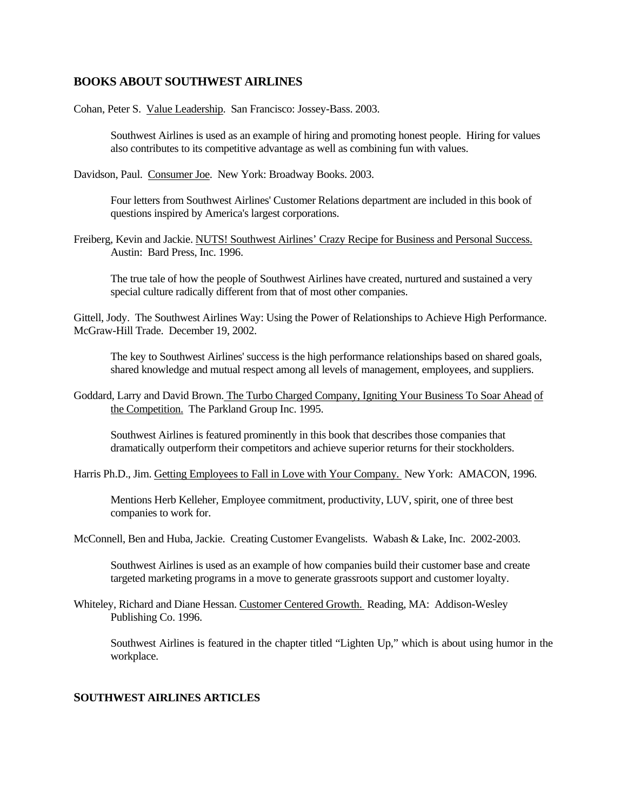## **BOOKS ABOUT SOUTHWEST AIRLINES**

Cohan, Peter S. Value Leadership. San Francisco: Jossey-Bass. 2003.

 Southwest Airlines is used as an example of hiring and promoting honest people. Hiring for values also contributes to its competitive advantage as well as combining fun with values.

Davidson, Paul. Consumer Joe. New York: Broadway Books. 2003.

 Four letters from Southwest Airlines' Customer Relations department are included in this book of questions inspired by America's largest corporations.

Freiberg, Kevin and Jackie. NUTS! Southwest Airlines' Crazy Recipe for Business and Personal Success. Austin: Bard Press, Inc. 1996.

The true tale of how the people of Southwest Airlines have created, nurtured and sustained a very special culture radically different from that of most other companies.

Gittell, Jody. The Southwest Airlines Way: Using the Power of Relationships to Achieve High Performance. McGraw-Hill Trade. December 19, 2002.

The key to Southwest Airlines' success is the high performance relationships based on shared goals, shared knowledge and mutual respect among all levels of management, employees, and suppliers.

Goddard, Larry and David Brown. The Turbo Charged Company, Igniting Your Business To Soar Ahead of the Competition. The Parkland Group Inc. 1995.

Southwest Airlines is featured prominently in this book that describes those companies that dramatically outperform their competitors and achieve superior returns for their stockholders.

Harris Ph.D., Jim. Getting Employees to Fall in Love with Your Company. New York: AMACON, 1996.

Mentions Herb Kelleher, Employee commitment, productivity, LUV, spirit, one of three best companies to work for.

McConnell, Ben and Huba, Jackie. Creating Customer Evangelists. Wabash & Lake, Inc. 2002-2003.

Southwest Airlines is used as an example of how companies build their customer base and create targeted marketing programs in a move to generate grassroots support and customer loyalty.

Whiteley, Richard and Diane Hessan. Customer Centered Growth. Reading, MA: Addison-Wesley Publishing Co. 1996.

Southwest Airlines is featured in the chapter titled "Lighten Up," which is about using humor in the workplace.

## **SOUTHWEST AIRLINES ARTICLES**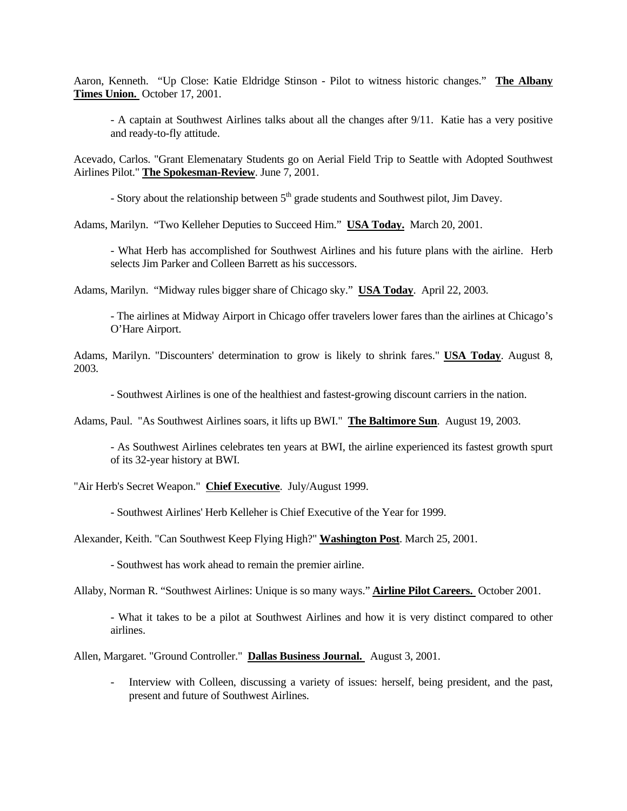Aaron, Kenneth. "Up Close: Katie Eldridge Stinson - Pilot to witness historic changes." **The Albany Times Union.** October 17, 2001.

- A captain at Southwest Airlines talks about all the changes after 9/11. Katie has a very positive and ready-to-fly attitude.

Acevado, Carlos. "Grant Elemenatary Students go on Aerial Field Trip to Seattle with Adopted Southwest Airlines Pilot." **The Spokesman-Review**. June 7, 2001.

- Story about the relationship between  $5<sup>th</sup>$  grade students and Southwest pilot, Jim Davey.

Adams, Marilyn. "Two Kelleher Deputies to Succeed Him." **USA Today.** March 20, 2001.

- What Herb has accomplished for Southwest Airlines and his future plans with the airline. Herb selects Jim Parker and Colleen Barrett as his successors.

Adams, Marilyn. "Midway rules bigger share of Chicago sky." **USA Today**. April 22, 2003.

- The airlines at Midway Airport in Chicago offer travelers lower fares than the airlines at Chicago's O'Hare Airport.

Adams, Marilyn. "Discounters' determination to grow is likely to shrink fares." **USA Today**. August 8, 2003.

- Southwest Airlines is one of the healthiest and fastest-growing discount carriers in the nation.

Adams, Paul. "As Southwest Airlines soars, it lifts up BWI." **The Baltimore Sun**. August 19, 2003.

- As Southwest Airlines celebrates ten years at BWI, the airline experienced its fastest growth spurt of its 32-year history at BWI.

"Air Herb's Secret Weapon." **Chief Executive**. July/August 1999.

- Southwest Airlines' Herb Kelleher is Chief Executive of the Year for 1999.

Alexander, Keith. "Can Southwest Keep Flying High?" **Washington Post**. March 25, 2001.

- Southwest has work ahead to remain the premier airline.

Allaby, Norman R. "Southwest Airlines: Unique is so many ways." **Airline Pilot Careers.** October 2001.

- What it takes to be a pilot at Southwest Airlines and how it is very distinct compared to other airlines.

Allen, Margaret. "Ground Controller." **Dallas Business Journal.** August 3, 2001.

- Interview with Colleen, discussing a variety of issues: herself, being president, and the past, present and future of Southwest Airlines.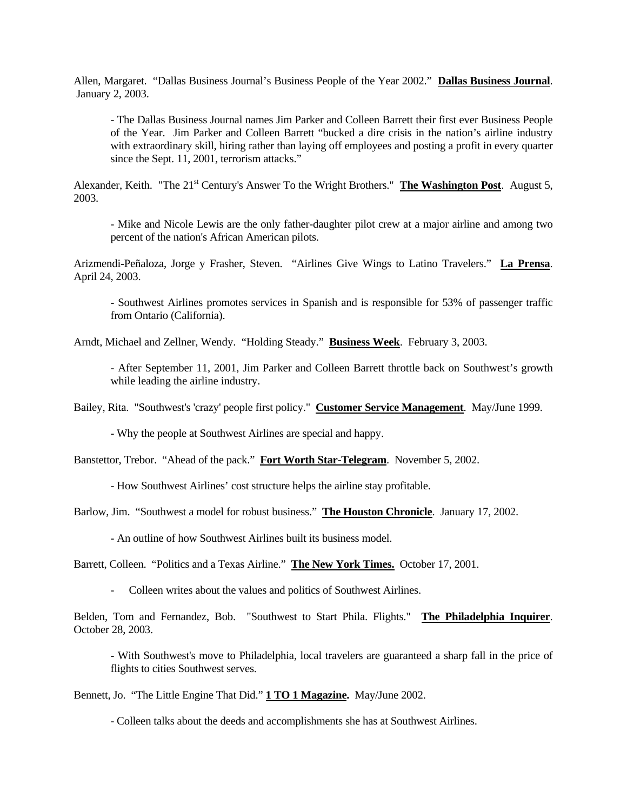Allen, Margaret. "Dallas Business Journal's Business People of the Year 2002." **Dallas Business Journal**. January 2, 2003.

- The Dallas Business Journal names Jim Parker and Colleen Barrett their first ever Business People of the Year. Jim Parker and Colleen Barrett "bucked a dire crisis in the nation's airline industry with extraordinary skill, hiring rather than laying off employees and posting a profit in every quarter since the Sept. 11, 2001, terrorism attacks."

Alexander, Keith. "The 21<sup>st</sup> Century's Answer To the Wright Brothers." The Washington Post. August 5, 2003.

- Mike and Nicole Lewis are the only father-daughter pilot crew at a major airline and among two percent of the nation's African American pilots.

Arizmendi-Peñaloza, Jorge y Frasher, Steven. "Airlines Give Wings to Latino Travelers." **La Prensa**. April 24, 2003.

- Southwest Airlines promotes services in Spanish and is responsible for 53% of passenger traffic from Ontario (California).

Arndt, Michael and Zellner, Wendy. "Holding Steady." **Business Week**. February 3, 2003.

- After September 11, 2001, Jim Parker and Colleen Barrett throttle back on Southwest's growth while leading the airline industry.

Bailey, Rita. "Southwest's 'crazy' people first policy." **Customer Service Management**. May/June 1999.

- Why the people at Southwest Airlines are special and happy.

Banstettor, Trebor. "Ahead of the pack." **Fort Worth Star-Telegram**. November 5, 2002.

- How Southwest Airlines' cost structure helps the airline stay profitable.

Barlow, Jim. "Southwest a model for robust business." **The Houston Chronicle**. January 17, 2002.

- An outline of how Southwest Airlines built its business model.

Barrett, Colleen. "Politics and a Texas Airline." **The New York Times.** October 17, 2001.

- Colleen writes about the values and politics of Southwest Airlines.

Belden, Tom and Fernandez, Bob. "Southwest to Start Phila. Flights." **The Philadelphia Inquirer**. October 28, 2003.

- With Southwest's move to Philadelphia, local travelers are guaranteed a sharp fall in the price of flights to cities Southwest serves.

Bennett, Jo. "The Little Engine That Did." **1 TO 1 Magazine.** May/June 2002.

- Colleen talks about the deeds and accomplishments she has at Southwest Airlines.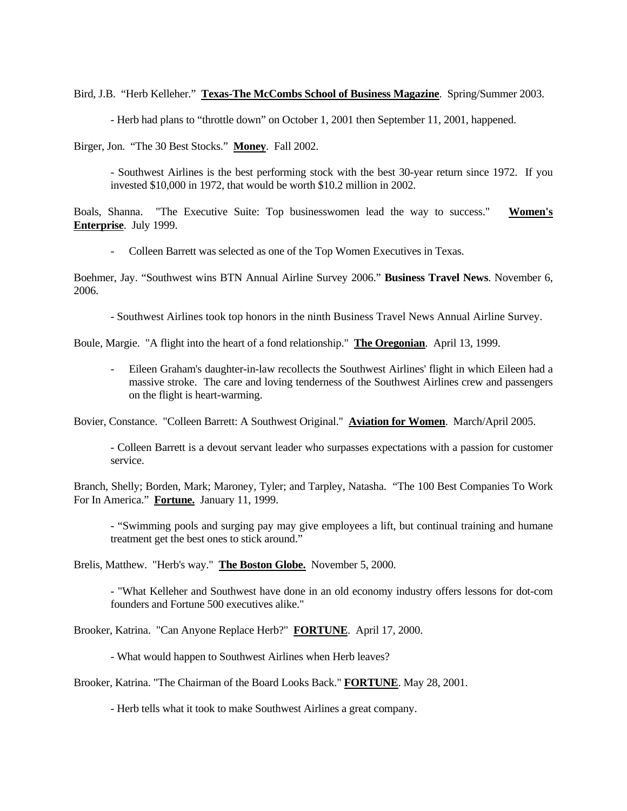Bird, J.B. "Herb Kelleher." **Texas-The McCombs School of Business Magazine**. Spring/Summer 2003.

- Herb had plans to "throttle down" on October 1, 2001 then September 11, 2001, happened.

Birger, Jon. "The 30 Best Stocks." **Money**. Fall 2002.

- Southwest Airlines is the best performing stock with the best 30-year return since 1972. If you invested \$10,000 in 1972, that would be worth \$10.2 million in 2002.

Boals, Shanna. "The Executive Suite: Top businesswomen lead the way to success." **Women's Enterprise**. July 1999.

- Colleen Barrett was selected as one of the Top Women Executives in Texas.

Boehmer, Jay. "Southwest wins BTN Annual Airline Survey 2006." **Business Travel News**. November 6, 2006.

- Southwest Airlines took top honors in the ninth Business Travel News Annual Airline Survey.

Boule, Margie. "A flight into the heart of a fond relationship." **The Oregonian**. April 13, 1999.

- Eileen Graham's daughter-in-law recollects the Southwest Airlines' flight in which Eileen had a massive stroke. The care and loving tenderness of the Southwest Airlines crew and passengers on the flight is heart-warming.

Bovier, Constance. "Colleen Barrett: A Southwest Original." **Aviation for Women**. March/April 2005.

- Colleen Barrett is a devout servant leader who surpasses expectations with a passion for customer service.

Branch, Shelly; Borden, Mark; Maroney, Tyler; and Tarpley, Natasha. "The 100 Best Companies To Work For In America." **Fortune.** January 11, 1999.

- "Swimming pools and surging pay may give employees a lift, but continual training and humane treatment get the best ones to stick around."

Brelis, Matthew. "Herb's way." **The Boston Globe.** November 5, 2000.

- "What Kelleher and Southwest have done in an old economy industry offers lessons for dot-com founders and Fortune 500 executives alike."

Brooker, Katrina. "Can Anyone Replace Herb?" **FORTUNE**. April 17, 2000.

- What would happen to Southwest Airlines when Herb leaves?

Brooker, Katrina. "The Chairman of the Board Looks Back." **FORTUNE**. May 28, 2001.

- Herb tells what it took to make Southwest Airlines a great company.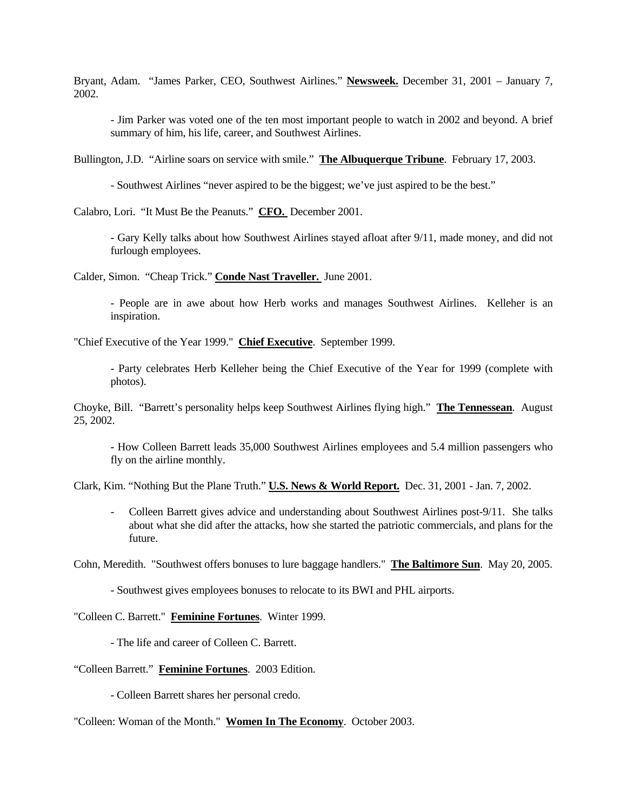Bryant, Adam. "James Parker, CEO, Southwest Airlines." **Newsweek.** December 31, 2001 – January 7, 2002.

- Jim Parker was voted one of the ten most important people to watch in 2002 and beyond. A brief summary of him, his life, career, and Southwest Airlines.

Bullington, J.D. "Airline soars on service with smile." **The Albuquerque Tribune**. February 17, 2003.

- Southwest Airlines "never aspired to be the biggest; we've just aspired to be the best."

Calabro, Lori. "It Must Be the Peanuts." **CFO.** December 2001.

- Gary Kelly talks about how Southwest Airlines stayed afloat after 9/11, made money, and did not furlough employees.

Calder, Simon. "Cheap Trick." **Conde Nast Traveller.** June 2001.

- People are in awe about how Herb works and manages Southwest Airlines. Kelleher is an inspiration.

"Chief Executive of the Year 1999." **Chief Executive**. September 1999.

- Party celebrates Herb Kelleher being the Chief Executive of the Year for 1999 (complete with photos).

Choyke, Bill. "Barrett's personality helps keep Southwest Airlines flying high." **The Tennessean**. August 25, 2002.

- How Colleen Barrett leads 35,000 Southwest Airlines employees and 5.4 million passengers who fly on the airline monthly.

Clark, Kim. "Nothing But the Plane Truth." **U.S. News & World Report.** Dec. 31, 2001 - Jan. 7, 2002.

- Colleen Barrett gives advice and understanding about Southwest Airlines post-9/11. She talks about what she did after the attacks, how she started the patriotic commercials, and plans for the future.

Cohn, Meredith. "Southwest offers bonuses to lure baggage handlers." **The Baltimore Sun**. May 20, 2005.

- Southwest gives employees bonuses to relocate to its BWI and PHL airports.

"Colleen C. Barrett." **Feminine Fortunes**. Winter 1999.

- The life and career of Colleen C. Barrett.

"Colleen Barrett." **Feminine Fortunes**. 2003 Edition.

- Colleen Barrett shares her personal credo.

"Colleen: Woman of the Month." **Women In The Economy**. October 2003.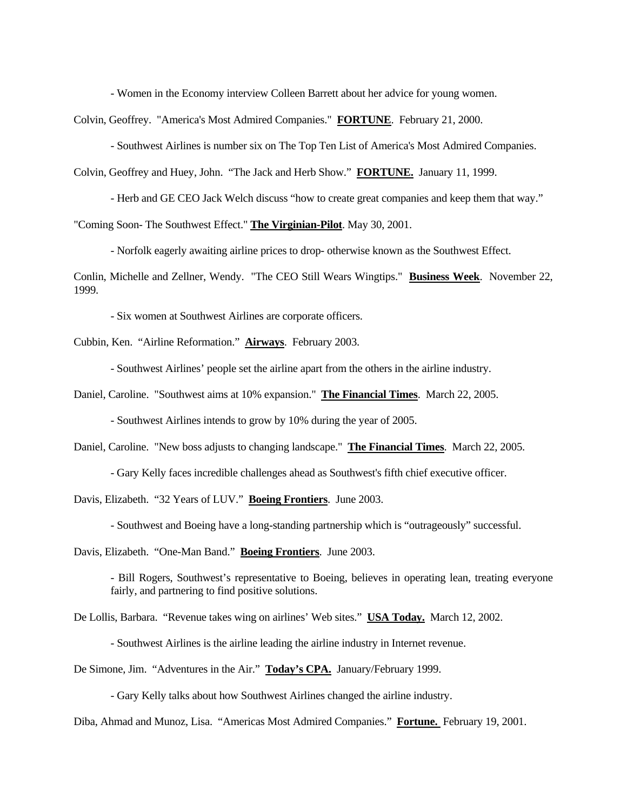- Women in the Economy interview Colleen Barrett about her advice for young women.

Colvin, Geoffrey. "America's Most Admired Companies." **FORTUNE**. February 21, 2000.

- Southwest Airlines is number six on The Top Ten List of America's Most Admired Companies.

Colvin, Geoffrey and Huey, John. "The Jack and Herb Show." **FORTUNE.** January 11, 1999.

- Herb and GE CEO Jack Welch discuss "how to create great companies and keep them that way."

"Coming Soon- The Southwest Effect." **The Virginian-Pilot**. May 30, 2001.

- Norfolk eagerly awaiting airline prices to drop- otherwise known as the Southwest Effect.

Conlin, Michelle and Zellner, Wendy. "The CEO Still Wears Wingtips." **Business Week**. November 22, 1999.

- Six women at Southwest Airlines are corporate officers.

Cubbin, Ken. "Airline Reformation." **Airways**. February 2003.

- Southwest Airlines' people set the airline apart from the others in the airline industry.

Daniel, Caroline. "Southwest aims at 10% expansion." **The Financial Times**. March 22, 2005.

- Southwest Airlines intends to grow by 10% during the year of 2005.

Daniel, Caroline. "New boss adjusts to changing landscape." **The Financial Times**. March 22, 2005.

- Gary Kelly faces incredible challenges ahead as Southwest's fifth chief executive officer.

Davis, Elizabeth. "32 Years of LUV." **Boeing Frontiers**. June 2003.

- Southwest and Boeing have a long-standing partnership which is "outrageously" successful.

Davis, Elizabeth. "One-Man Band." **Boeing Frontiers**. June 2003.

- Bill Rogers, Southwest's representative to Boeing, believes in operating lean, treating everyone fairly, and partnering to find positive solutions.

De Lollis, Barbara. "Revenue takes wing on airlines' Web sites." **USA Today.** March 12, 2002.

- Southwest Airlines is the airline leading the airline industry in Internet revenue.

De Simone, Jim. "Adventures in the Air." **Today's CPA.** January/February 1999.

- Gary Kelly talks about how Southwest Airlines changed the airline industry.

Diba, Ahmad and Munoz, Lisa. "Americas Most Admired Companies." **Fortune.** February 19, 2001.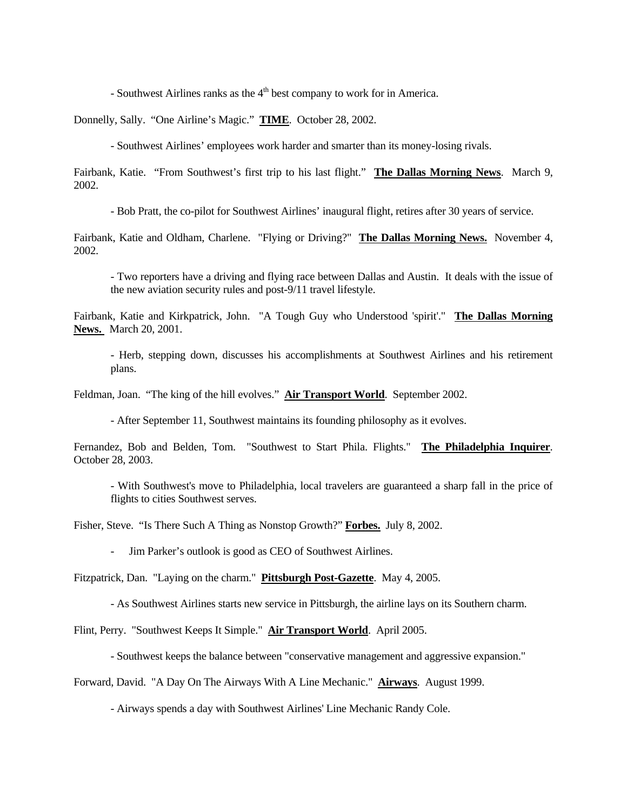- Southwest Airlines ranks as the  $4<sup>th</sup>$  best company to work for in America.

Donnelly, Sally. "One Airline's Magic." **TIME**. October 28, 2002.

- Southwest Airlines' employees work harder and smarter than its money-losing rivals.

Fairbank, Katie. "From Southwest's first trip to his last flight." **The Dallas Morning News**. March 9, 2002.

- Bob Pratt, the co-pilot for Southwest Airlines' inaugural flight, retires after 30 years of service.

Fairbank, Katie and Oldham, Charlene. "Flying or Driving?" **The Dallas Morning News.** November 4, 2002.

- Two reporters have a driving and flying race between Dallas and Austin. It deals with the issue of the new aviation security rules and post-9/11 travel lifestyle.

Fairbank, Katie and Kirkpatrick, John. "A Tough Guy who Understood 'spirit'." **The Dallas Morning News.** March 20, 2001.

- Herb, stepping down, discusses his accomplishments at Southwest Airlines and his retirement plans.

Feldman, Joan. "The king of the hill evolves." **Air Transport World**. September 2002.

- After September 11, Southwest maintains its founding philosophy as it evolves.

Fernandez, Bob and Belden, Tom. "Southwest to Start Phila. Flights." **The Philadelphia Inquirer**. October 28, 2003.

- With Southwest's move to Philadelphia, local travelers are guaranteed a sharp fall in the price of flights to cities Southwest serves.

Fisher, Steve. "Is There Such A Thing as Nonstop Growth?" **Forbes.** July 8, 2002.

- Jim Parker's outlook is good as CEO of Southwest Airlines.

Fitzpatrick, Dan. "Laying on the charm." **Pittsburgh Post-Gazette**. May 4, 2005.

- As Southwest Airlines starts new service in Pittsburgh, the airline lays on its Southern charm.

Flint, Perry. "Southwest Keeps It Simple." **Air Transport World**. April 2005.

- Southwest keeps the balance between "conservative management and aggressive expansion."

Forward, David. "A Day On The Airways With A Line Mechanic." **Airways**. August 1999.

- Airways spends a day with Southwest Airlines' Line Mechanic Randy Cole.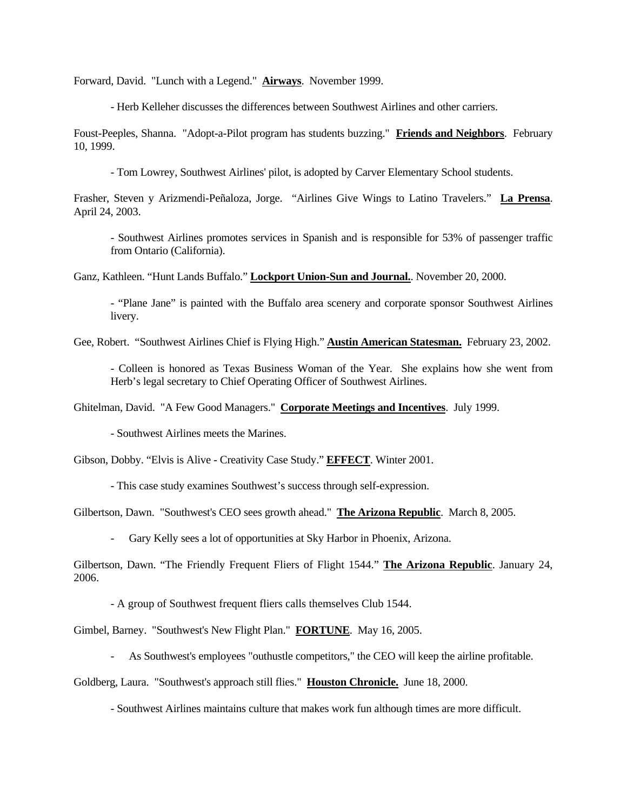Forward, David. "Lunch with a Legend." **Airways**. November 1999.

- Herb Kelleher discusses the differences between Southwest Airlines and other carriers.

Foust-Peeples, Shanna. "Adopt-a-Pilot program has students buzzing." **Friends and Neighbors**. February 10, 1999.

- Tom Lowrey, Southwest Airlines' pilot, is adopted by Carver Elementary School students.

Frasher, Steven y Arizmendi-Peñaloza, Jorge. "Airlines Give Wings to Latino Travelers." **La Prensa**. April 24, 2003.

- Southwest Airlines promotes services in Spanish and is responsible for 53% of passenger traffic from Ontario (California).

Ganz, Kathleen. "Hunt Lands Buffalo." **Lockport Union-Sun and Journal.**. November 20, 2000.

- "Plane Jane" is painted with the Buffalo area scenery and corporate sponsor Southwest Airlines livery.

Gee, Robert. "Southwest Airlines Chief is Flying High." **Austin American Statesman.** February 23, 2002.

- Colleen is honored as Texas Business Woman of the Year. She explains how she went from Herb's legal secretary to Chief Operating Officer of Southwest Airlines.

Ghitelman, David. "A Few Good Managers." **Corporate Meetings and Incentives**. July 1999.

- Southwest Airlines meets the Marines.

Gibson, Dobby. "Elvis is Alive - Creativity Case Study." **EFFECT**. Winter 2001.

- This case study examines Southwest's success through self-expression.

Gilbertson, Dawn. "Southwest's CEO sees growth ahead." **The Arizona Republic**. March 8, 2005.

Gary Kelly sees a lot of opportunities at Sky Harbor in Phoenix, Arizona.

Gilbertson, Dawn. "The Friendly Frequent Fliers of Flight 1544." **The Arizona Republic**. January 24, 2006.

- A group of Southwest frequent fliers calls themselves Club 1544.

Gimbel, Barney. "Southwest's New Flight Plan." **FORTUNE**. May 16, 2005.

- As Southwest's employees "outhustle competitors," the CEO will keep the airline profitable.

Goldberg, Laura. "Southwest's approach still flies." **Houston Chronicle.** June 18, 2000.

- Southwest Airlines maintains culture that makes work fun although times are more difficult.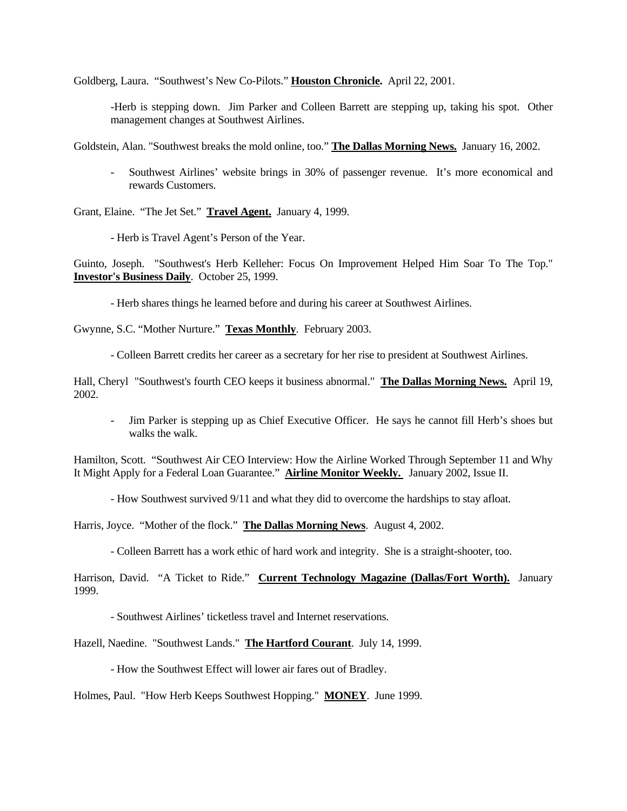Goldberg, Laura. "Southwest's New Co-Pilots." **Houston Chronicle.** April 22, 2001.

-Herb is stepping down. Jim Parker and Colleen Barrett are stepping up, taking his spot. Other management changes at Southwest Airlines.

Goldstein, Alan. "Southwest breaks the mold online, too." **The Dallas Morning News.** January 16, 2002.

- Southwest Airlines' website brings in 30% of passenger revenue. It's more economical and rewards Customers.

Grant, Elaine. "The Jet Set." **Travel Agent.** January 4, 1999.

- Herb is Travel Agent's Person of the Year.

Guinto, Joseph. "Southwest's Herb Kelleher: Focus On Improvement Helped Him Soar To The Top." **Investor's Business Daily**. October 25, 1999.

- Herb shares things he learned before and during his career at Southwest Airlines.

Gwynne, S.C. "Mother Nurture." **Texas Monthly**. February 2003.

- Colleen Barrett credits her career as a secretary for her rise to president at Southwest Airlines.

Hall, Cheryl "Southwest's fourth CEO keeps it business abnormal." **The Dallas Morning News.** April 19, 2002.

Jim Parker is stepping up as Chief Executive Officer. He says he cannot fill Herb's shoes but walks the walk.

Hamilton, Scott. "Southwest Air CEO Interview: How the Airline Worked Through September 11 and Why It Might Apply for a Federal Loan Guarantee." **Airline Monitor Weekly.** January 2002, Issue II.

- How Southwest survived 9/11 and what they did to overcome the hardships to stay afloat.

Harris, Joyce. "Mother of the flock." **The Dallas Morning News**. August 4, 2002.

- Colleen Barrett has a work ethic of hard work and integrity. She is a straight-shooter, too.

Harrison, David. "A Ticket to Ride." **Current Technology Magazine (Dallas/Fort Worth).** January 1999.

- Southwest Airlines' ticketless travel and Internet reservations.

Hazell, Naedine. "Southwest Lands." **The Hartford Courant**. July 14, 1999.

- How the Southwest Effect will lower air fares out of Bradley.

Holmes, Paul. "How Herb Keeps Southwest Hopping." **MONEY**. June 1999.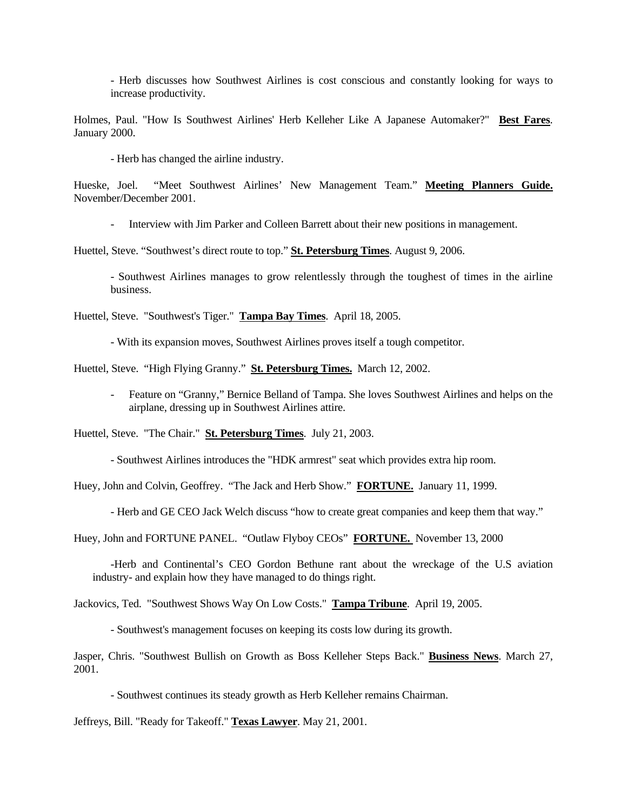- Herb discusses how Southwest Airlines is cost conscious and constantly looking for ways to increase productivity.

Holmes, Paul. "How Is Southwest Airlines' Herb Kelleher Like A Japanese Automaker?" **Best Fares**. January 2000.

- Herb has changed the airline industry.

Hueske, Joel. "Meet Southwest Airlines' New Management Team." **Meeting Planners Guide.** November/December 2001.

- Interview with Jim Parker and Colleen Barrett about their new positions in management.

Huettel, Steve. "Southwest's direct route to top." **St. Petersburg Times**. August 9, 2006.

- Southwest Airlines manages to grow relentlessly through the toughest of times in the airline business.

Huettel, Steve. "Southwest's Tiger." **Tampa Bay Times**. April 18, 2005.

- With its expansion moves, Southwest Airlines proves itself a tough competitor.

Huettel, Steve. "High Flying Granny." **St. Petersburg Times.** March 12, 2002.

- Feature on "Granny," Bernice Belland of Tampa. She loves Southwest Airlines and helps on the airplane, dressing up in Southwest Airlines attire.

Huettel, Steve. "The Chair." **St. Petersburg Times**. July 21, 2003.

- Southwest Airlines introduces the "HDK armrest" seat which provides extra hip room.

Huey, John and Colvin, Geoffrey. "The Jack and Herb Show." **FORTUNE.** January 11, 1999.

- Herb and GE CEO Jack Welch discuss "how to create great companies and keep them that way."

Huey, John and FORTUNE PANEL. "Outlaw Flyboy CEOs" **FORTUNE.** November 13, 2000

 -Herb and Continental's CEO Gordon Bethune rant about the wreckage of the U.S aviation industry- and explain how they have managed to do things right.

Jackovics, Ted. "Southwest Shows Way On Low Costs." **Tampa Tribune**. April 19, 2005.

- Southwest's management focuses on keeping its costs low during its growth.

Jasper, Chris. "Southwest Bullish on Growth as Boss Kelleher Steps Back." **Business News**. March 27, 2001.

- Southwest continues its steady growth as Herb Kelleher remains Chairman.

Jeffreys, Bill. "Ready for Takeoff." **Texas Lawyer**. May 21, 2001.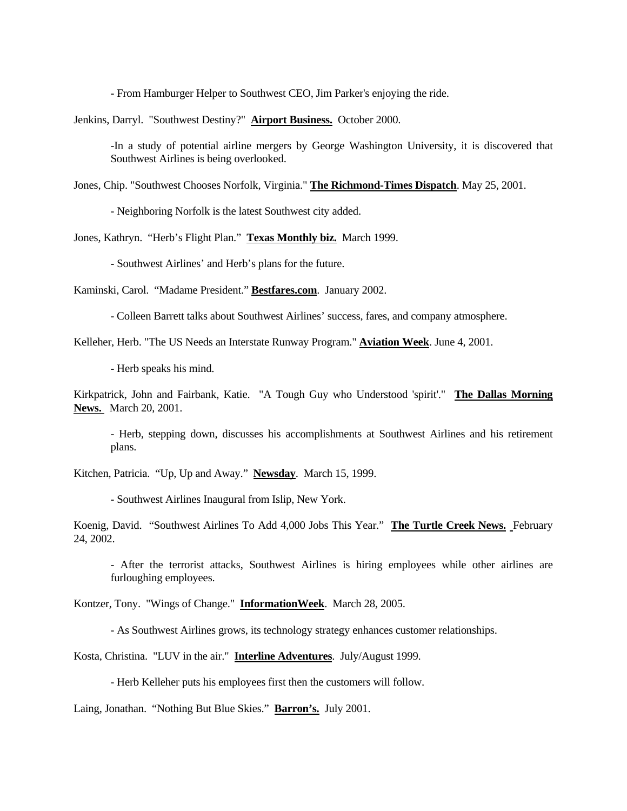- From Hamburger Helper to Southwest CEO, Jim Parker's enjoying the ride.

Jenkins, Darryl. "Southwest Destiny?" **Airport Business.** October 2000.

-In a study of potential airline mergers by George Washington University, it is discovered that Southwest Airlines is being overlooked.

Jones, Chip. "Southwest Chooses Norfolk, Virginia." **The Richmond-Times Dispatch**. May 25, 2001.

- Neighboring Norfolk is the latest Southwest city added.

Jones, Kathryn. "Herb's Flight Plan." **Texas Monthly biz.** March 1999.

- Southwest Airlines' and Herb's plans for the future.

Kaminski, Carol. "Madame President." **Bestfares.com**. January 2002.

- Colleen Barrett talks about Southwest Airlines' success, fares, and company atmosphere.

Kelleher, Herb. "The US Needs an Interstate Runway Program." **Aviation Week**. June 4, 2001.

- Herb speaks his mind.

Kirkpatrick, John and Fairbank, Katie. "A Tough Guy who Understood 'spirit'." **The Dallas Morning News.** March 20, 2001.

- Herb, stepping down, discusses his accomplishments at Southwest Airlines and his retirement plans.

Kitchen, Patricia. "Up, Up and Away." **Newsday**. March 15, 1999.

- Southwest Airlines Inaugural from Islip, New York.

Koenig, David. "Southwest Airlines To Add 4,000 Jobs This Year." **The Turtle Creek News.** February 24, 2002.

- After the terrorist attacks, Southwest Airlines is hiring employees while other airlines are furloughing employees.

Kontzer, Tony. "Wings of Change." **InformationWeek**. March 28, 2005.

- As Southwest Airlines grows, its technology strategy enhances customer relationships.

Kosta, Christina. "LUV in the air." **Interline Adventures**. July/August 1999.

- Herb Kelleher puts his employees first then the customers will follow.

Laing, Jonathan. "Nothing But Blue Skies." **Barron's.** July 2001.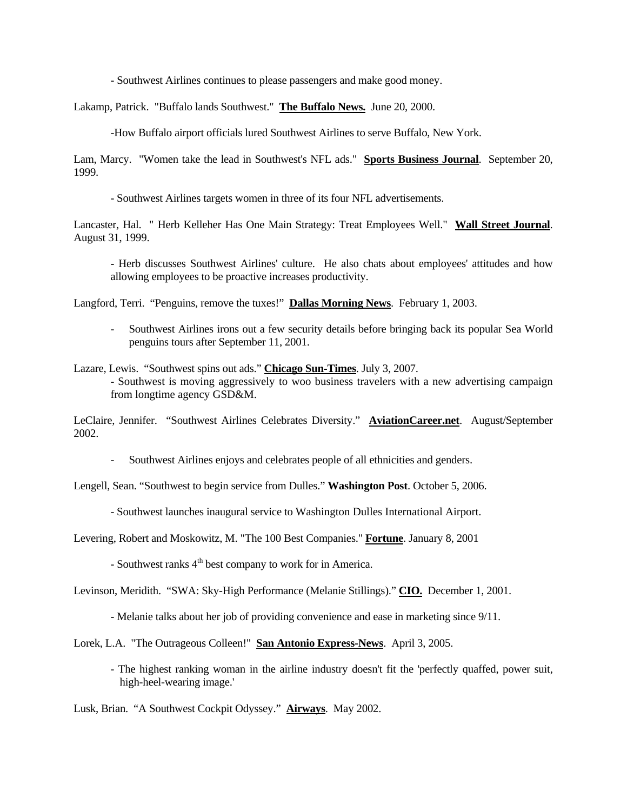- Southwest Airlines continues to please passengers and make good money.

Lakamp, Patrick. "Buffalo lands Southwest." **The Buffalo News.** June 20, 2000.

-How Buffalo airport officials lured Southwest Airlines to serve Buffalo, New York.

Lam, Marcy. "Women take the lead in Southwest's NFL ads." **Sports Business Journal**. September 20, 1999.

- Southwest Airlines targets women in three of its four NFL advertisements.

Lancaster, Hal. " Herb Kelleher Has One Main Strategy: Treat Employees Well." **Wall Street Journal**. August 31, 1999.

- Herb discusses Southwest Airlines' culture. He also chats about employees' attitudes and how allowing employees to be proactive increases productivity.

Langford, Terri. "Penguins, remove the tuxes!" **Dallas Morning News**. February 1, 2003.

- Southwest Airlines irons out a few security details before bringing back its popular Sea World penguins tours after September 11, 2001.

Lazare, Lewis. "Southwest spins out ads." **Chicago Sun-Times**. July 3, 2007. - Southwest is moving aggressively to woo business travelers with a new advertising campaign from longtime agency GSD&M.

LeClaire, Jennifer. "Southwest Airlines Celebrates Diversity." **AviationCareer.net**. August/September 2002.

- Southwest Airlines enjoys and celebrates people of all ethnicities and genders.

Lengell, Sean. "Southwest to begin service from Dulles." **Washington Post**. October 5, 2006.

- Southwest launches inaugural service to Washington Dulles International Airport.

Levering, Robert and Moskowitz, M. "The 100 Best Companies." **Fortune**. January 8, 2001

- Southwest ranks  $4<sup>th</sup>$  best company to work for in America.

Levinson, Meridith. "SWA: Sky-High Performance (Melanie Stillings)." **CIO.** December 1, 2001.

- Melanie talks about her job of providing convenience and ease in marketing since 9/11.

Lorek, L.A. "The Outrageous Colleen!" **San Antonio Express-News**. April 3, 2005.

 - The highest ranking woman in the airline industry doesn't fit the 'perfectly quaffed, power suit, high-heel-wearing image.'

Lusk, Brian. "A Southwest Cockpit Odyssey." **Airways**. May 2002.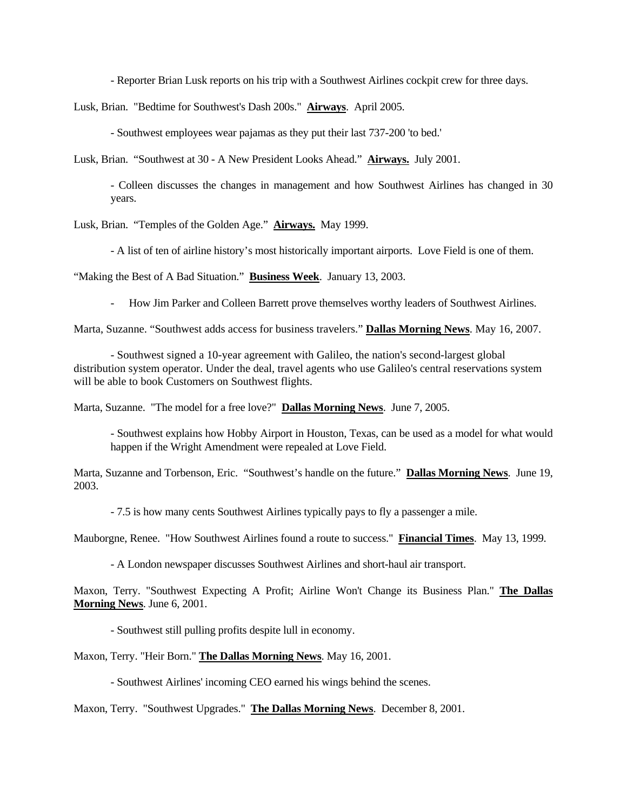- Reporter Brian Lusk reports on his trip with a Southwest Airlines cockpit crew for three days.

Lusk, Brian. "Bedtime for Southwest's Dash 200s." **Airways**. April 2005.

- Southwest employees wear pajamas as they put their last 737-200 'to bed.'

Lusk, Brian. "Southwest at 30 - A New President Looks Ahead." **Airways.** July 2001.

- Colleen discusses the changes in management and how Southwest Airlines has changed in 30 years.

Lusk, Brian. "Temples of the Golden Age." **Airways.** May 1999.

- A list of ten of airline history's most historically important airports. Love Field is one of them.

"Making the Best of A Bad Situation." **Business Week**. January 13, 2003.

- How Jim Parker and Colleen Barrett prove themselves worthy leaders of Southwest Airlines.

Marta, Suzanne. "Southwest adds access for business travelers." **Dallas Morning News**. May 16, 2007.

 - Southwest signed a 10-year agreement with Galileo, the nation's second-largest global distribution system operator. Under the deal, travel agents who use Galileo's central reservations system will be able to book Customers on Southwest flights.

Marta, Suzanne. "The model for a free love?" **Dallas Morning News**. June 7, 2005.

- Southwest explains how Hobby Airport in Houston, Texas, can be used as a model for what would happen if the Wright Amendment were repealed at Love Field.

Marta, Suzanne and Torbenson, Eric. "Southwest's handle on the future." **Dallas Morning News**. June 19, 2003.

- 7.5 is how many cents Southwest Airlines typically pays to fly a passenger a mile.

Mauborgne, Renee. "How Southwest Airlines found a route to success." **Financial Times**. May 13, 1999.

- A London newspaper discusses Southwest Airlines and short-haul air transport.

Maxon, Terry. "Southwest Expecting A Profit; Airline Won't Change its Business Plan." **The Dallas Morning News**. June 6, 2001.

- Southwest still pulling profits despite lull in economy.

Maxon, Terry. "Heir Born." **The Dallas Morning News**. May 16, 2001.

- Southwest Airlines' incoming CEO earned his wings behind the scenes.

Maxon, Terry. "Southwest Upgrades." **The Dallas Morning News**. December 8, 2001.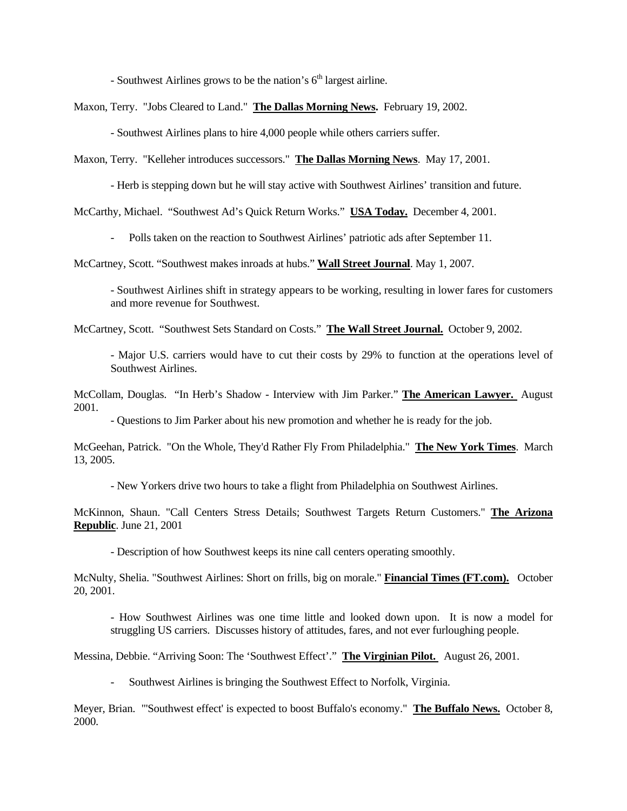- Southwest Airlines grows to be the nation's  $6<sup>th</sup>$  largest airline.

Maxon, Terry. "Jobs Cleared to Land." **The Dallas Morning News.** February 19, 2002.

- Southwest Airlines plans to hire 4,000 people while others carriers suffer.

Maxon, Terry. "Kelleher introduces successors." **The Dallas Morning News**. May 17, 2001.

- Herb is stepping down but he will stay active with Southwest Airlines' transition and future.

McCarthy, Michael. "Southwest Ad's Quick Return Works." **USA Today.** December 4, 2001.

- Polls taken on the reaction to Southwest Airlines' patriotic ads after September 11.

McCartney, Scott. "Southwest makes inroads at hubs." **Wall Street Journal**. May 1, 2007.

- Southwest Airlines shift in strategy appears to be working, resulting in lower fares for customers and more revenue for Southwest.

McCartney, Scott. "Southwest Sets Standard on Costs." **The Wall Street Journal.** October 9, 2002.

- Major U.S. carriers would have to cut their costs by 29% to function at the operations level of Southwest Airlines.

McCollam, Douglas. "In Herb's Shadow - Interview with Jim Parker." **The American Lawyer.** August 2001.

- Questions to Jim Parker about his new promotion and whether he is ready for the job.

McGeehan, Patrick. "On the Whole, They'd Rather Fly From Philadelphia." **The New York Times**. March 13, 2005.

- New Yorkers drive two hours to take a flight from Philadelphia on Southwest Airlines.

McKinnon, Shaun. "Call Centers Stress Details; Southwest Targets Return Customers." **The Arizona Republic**. June 21, 2001

- Description of how Southwest keeps its nine call centers operating smoothly.

McNulty, Shelia. "Southwest Airlines: Short on frills, big on morale." **Financial Times (FT.com).** October 20, 2001.

- How Southwest Airlines was one time little and looked down upon. It is now a model for struggling US carriers. Discusses history of attitudes, fares, and not ever furloughing people.

Messina, Debbie. "Arriving Soon: The 'Southwest Effect'." **The Virginian Pilot.** August 26, 2001.

- Southwest Airlines is bringing the Southwest Effect to Norfolk, Virginia.

Meyer, Brian. "'Southwest effect' is expected to boost Buffalo's economy." **The Buffalo News.** October 8, 2000.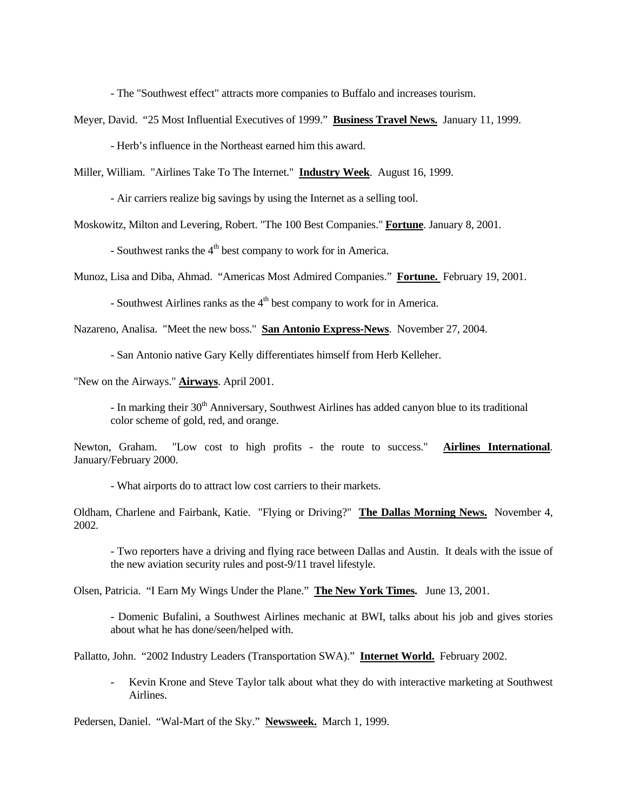- The "Southwest effect" attracts more companies to Buffalo and increases tourism.

Meyer, David. "25 Most Influential Executives of 1999." **Business Travel News.** January 11, 1999.

- Herb's influence in the Northeast earned him this award.

Miller, William. "Airlines Take To The Internet." **Industry Week**. August 16, 1999.

- Air carriers realize big savings by using the Internet as a selling tool.

Moskowitz, Milton and Levering, Robert. "The 100 Best Companies." **Fortune**. January 8, 2001.

- Southwest ranks the  $4<sup>th</sup>$  best company to work for in America.

Munoz, Lisa and Diba, Ahmad. "Americas Most Admired Companies." **Fortune.** February 19, 2001.

- Southwest Airlines ranks as the  $4<sup>th</sup>$  best company to work for in America.

Nazareno, Analisa. "Meet the new boss." **San Antonio Express-News**. November 27, 2004.

- San Antonio native Gary Kelly differentiates himself from Herb Kelleher.

"New on the Airways." **Airways**. April 2001.

- In marking their 30<sup>th</sup> Anniversary, Southwest Airlines has added canyon blue to its traditional color scheme of gold, red, and orange.

Newton, Graham. "Low cost to high profits - the route to success." **Airlines International**. January/February 2000.

- What airports do to attract low cost carriers to their markets.

Oldham, Charlene and Fairbank, Katie. "Flying or Driving?" **The Dallas Morning News.** November 4, 2002.

- Two reporters have a driving and flying race between Dallas and Austin. It deals with the issue of the new aviation security rules and post-9/11 travel lifestyle.

Olsen, Patricia. "I Earn My Wings Under the Plane." **The New York Times.** June 13, 2001.

- Domenic Bufalini, a Southwest Airlines mechanic at BWI, talks about his job and gives stories about what he has done/seen/helped with.

Pallatto, John. "2002 Industry Leaders (Transportation SWA)." **Internet World.** February 2002.

- Kevin Krone and Steve Taylor talk about what they do with interactive marketing at Southwest Airlines.

Pedersen, Daniel. "Wal-Mart of the Sky." **Newsweek.** March 1, 1999.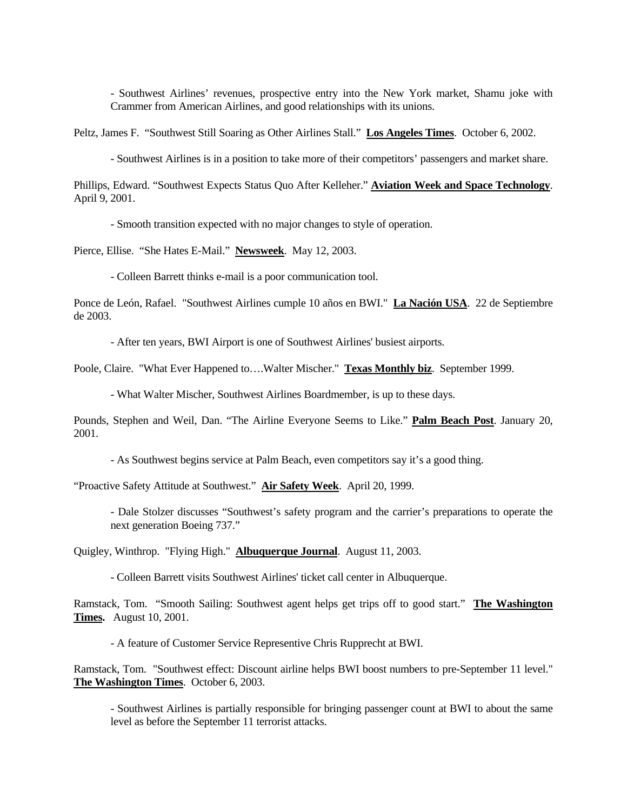- Southwest Airlines' revenues, prospective entry into the New York market, Shamu joke with Crammer from American Airlines, and good relationships with its unions.

Peltz, James F. "Southwest Still Soaring as Other Airlines Stall." **Los Angeles Times**. October 6, 2002.

- Southwest Airlines is in a position to take more of their competitors' passengers and market share.

Phillips, Edward. "Southwest Expects Status Quo After Kelleher." **Aviation Week and Space Technology**. April 9, 2001.

- Smooth transition expected with no major changes to style of operation.

Pierce, Ellise. "She Hates E-Mail." **Newsweek**. May 12, 2003.

- Colleen Barrett thinks e-mail is a poor communication tool.

Ponce de León, Rafael. "Southwest Airlines cumple 10 años en BWI." **La Nación USA**. 22 de Septiembre de 2003.

- After ten years, BWI Airport is one of Southwest Airlines' busiest airports.

Poole, Claire. "What Ever Happened to….Walter Mischer." **Texas Monthly biz**. September 1999.

- What Walter Mischer, Southwest Airlines Boardmember, is up to these days.

Pounds, Stephen and Weil, Dan. "The Airline Everyone Seems to Like." **Palm Beach Post**. January 20, 2001.

- As Southwest begins service at Palm Beach, even competitors say it's a good thing.

"Proactive Safety Attitude at Southwest." **Air Safety Week**. April 20, 1999.

- Dale Stolzer discusses "Southwest's safety program and the carrier's preparations to operate the next generation Boeing 737."

Quigley, Winthrop. "Flying High." **Albuquerque Journal**. August 11, 2003.

- Colleen Barrett visits Southwest Airlines' ticket call center in Albuquerque.

Ramstack, Tom. "Smooth Sailing: Southwest agent helps get trips off to good start." **The Washington Times.** August 10, 2001.

- A feature of Customer Service Representive Chris Rupprecht at BWI.

Ramstack, Tom. "Southwest effect: Discount airline helps BWI boost numbers to pre-September 11 level." **The Washington Times**. October 6, 2003.

- Southwest Airlines is partially responsible for bringing passenger count at BWI to about the same level as before the September 11 terrorist attacks.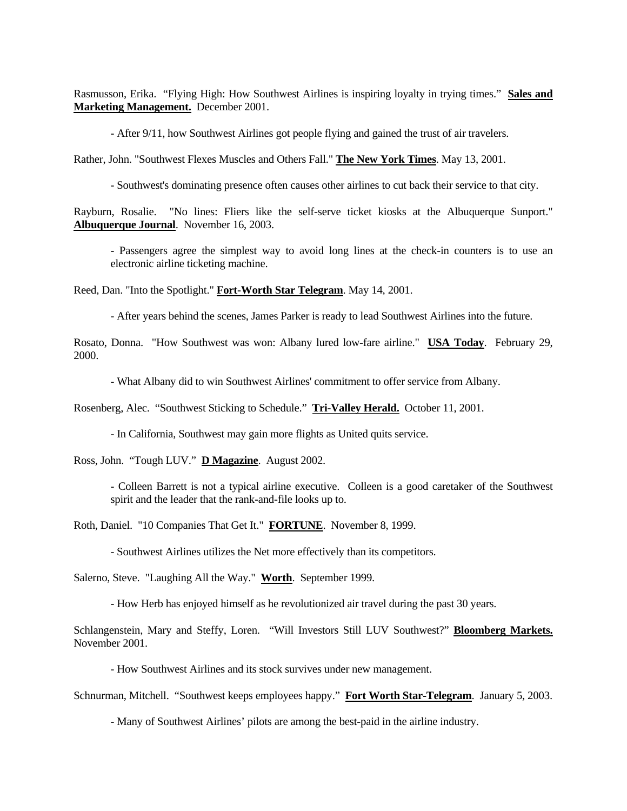Rasmusson, Erika. "Flying High: How Southwest Airlines is inspiring loyalty in trying times." **Sales and Marketing Management.** December 2001.

- After 9/11, how Southwest Airlines got people flying and gained the trust of air travelers.

Rather, John. "Southwest Flexes Muscles and Others Fall." **The New York Times**. May 13, 2001.

- Southwest's dominating presence often causes other airlines to cut back their service to that city.

Rayburn, Rosalie. "No lines: Fliers like the self-serve ticket kiosks at the Albuquerque Sunport." **Albuquerque Journal**. November 16, 2003.

- Passengers agree the simplest way to avoid long lines at the check-in counters is to use an electronic airline ticketing machine.

Reed, Dan. "Into the Spotlight." **Fort-Worth Star Telegram**. May 14, 2001.

- After years behind the scenes, James Parker is ready to lead Southwest Airlines into the future.

Rosato, Donna. "How Southwest was won: Albany lured low-fare airline." **USA Today**. February 29, 2000.

- What Albany did to win Southwest Airlines' commitment to offer service from Albany.

Rosenberg, Alec. "Southwest Sticking to Schedule." **Tri-Valley Herald.** October 11, 2001.

- In California, Southwest may gain more flights as United quits service.

Ross, John. "Tough LUV." **D Magazine**. August 2002.

- Colleen Barrett is not a typical airline executive. Colleen is a good caretaker of the Southwest spirit and the leader that the rank-and-file looks up to.

Roth, Daniel. "10 Companies That Get It." **FORTUNE**. November 8, 1999.

- Southwest Airlines utilizes the Net more effectively than its competitors.

Salerno, Steve. "Laughing All the Way." **Worth**. September 1999.

- How Herb has enjoyed himself as he revolutionized air travel during the past 30 years.

Schlangenstein, Mary and Steffy, Loren. "Will Investors Still LUV Southwest?" **Bloomberg Markets.** November 2001.

- How Southwest Airlines and its stock survives under new management.

Schnurman, Mitchell. "Southwest keeps employees happy." **Fort Worth Star-Telegram**. January 5, 2003.

- Many of Southwest Airlines' pilots are among the best-paid in the airline industry.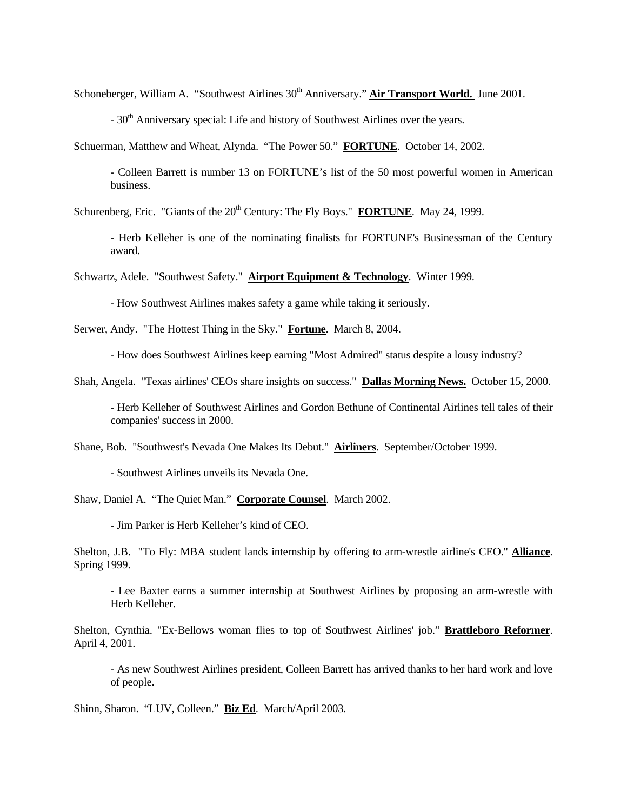Schoneberger, William A. "Southwest Airlines 30<sup>th</sup> Anniversary." **Air Transport World.** June 2001.

 $-30<sup>th</sup>$  Anniversary special: Life and history of Southwest Airlines over the years.

Schuerman, Matthew and Wheat, Alynda. "The Power 50." **FORTUNE**. October 14, 2002.

- Colleen Barrett is number 13 on FORTUNE's list of the 50 most powerful women in American business.

Schurenberg, Eric. "Giants of the 20<sup>th</sup> Century: The Fly Boys." **FORTUNE**. May 24, 1999.

- Herb Kelleher is one of the nominating finalists for FORTUNE's Businessman of the Century award.

Schwartz, Adele. "Southwest Safety." **Airport Equipment & Technology**. Winter 1999.

- How Southwest Airlines makes safety a game while taking it seriously.

Serwer, Andy. "The Hottest Thing in the Sky." **Fortune**. March 8, 2004.

- How does Southwest Airlines keep earning "Most Admired" status despite a lousy industry?

Shah, Angela. "Texas airlines' CEOs share insights on success." **Dallas Morning News.** October 15, 2000.

- Herb Kelleher of Southwest Airlines and Gordon Bethune of Continental Airlines tell tales of their companies' success in 2000.

Shane, Bob. "Southwest's Nevada One Makes Its Debut." **Airliners**. September/October 1999.

- Southwest Airlines unveils its Nevada One.

Shaw, Daniel A. "The Quiet Man." **Corporate Counsel**. March 2002.

- Jim Parker is Herb Kelleher's kind of CEO.

Shelton, J.B. "To Fly: MBA student lands internship by offering to arm-wrestle airline's CEO." **Alliance**. Spring 1999.

- Lee Baxter earns a summer internship at Southwest Airlines by proposing an arm-wrestle with Herb Kelleher.

Shelton, Cynthia. "Ex-Bellows woman flies to top of Southwest Airlines' job." **Brattleboro Reformer**. April 4, 2001.

- As new Southwest Airlines president, Colleen Barrett has arrived thanks to her hard work and love of people.

Shinn, Sharon. "LUV, Colleen." **Biz Ed**. March/April 2003.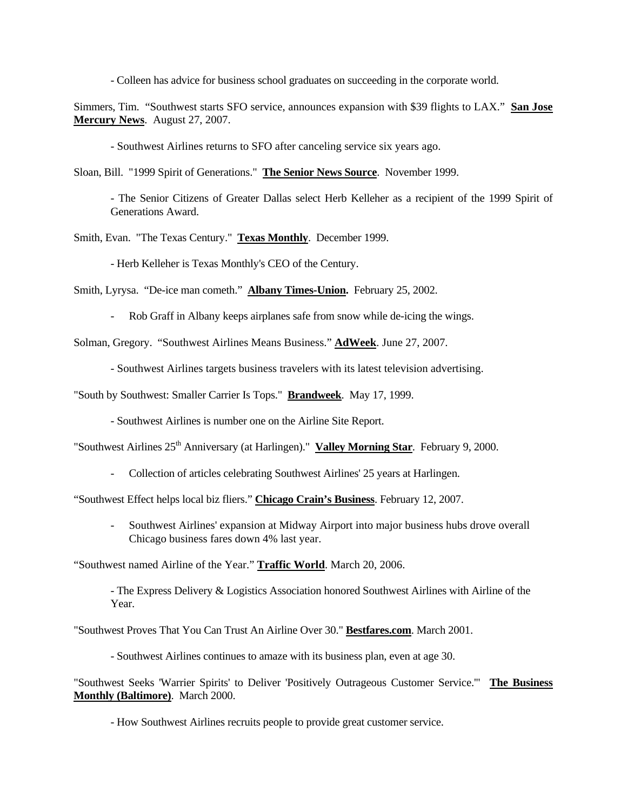- Colleen has advice for business school graduates on succeeding in the corporate world.

Simmers, Tim. "Southwest starts SFO service, announces expansion with \$39 flights to LAX." **San Jose Mercury News**. August 27, 2007.

- Southwest Airlines returns to SFO after canceling service six years ago.

Sloan, Bill. "1999 Spirit of Generations." **The Senior News Source**. November 1999.

- The Senior Citizens of Greater Dallas select Herb Kelleher as a recipient of the 1999 Spirit of Generations Award.

Smith, Evan. "The Texas Century." **Texas Monthly**. December 1999.

- Herb Kelleher is Texas Monthly's CEO of the Century.

Smith, Lyrysa. "De-ice man cometh." **Albany Times-Union.** February 25, 2002.

- Rob Graff in Albany keeps airplanes safe from snow while de-icing the wings.

Solman, Gregory. "Southwest Airlines Means Business." **AdWeek**. June 27, 2007.

- Southwest Airlines targets business travelers with its latest television advertising.

"South by Southwest: Smaller Carrier Is Tops." **Brandweek**. May 17, 1999.

- Southwest Airlines is number one on the Airline Site Report.

"Southwest Airlines 25th Anniversary (at Harlingen)." **Valley Morning Star**. February 9, 2000.

- Collection of articles celebrating Southwest Airlines' 25 years at Harlingen.

"Southwest Effect helps local biz fliers." **Chicago Crain's Business**. February 12, 2007.

- Southwest Airlines' expansion at Midway Airport into major business hubs drove overall Chicago business fares down 4% last year.

"Southwest named Airline of the Year." **Traffic World**. March 20, 2006.

- The Express Delivery & Logistics Association honored Southwest Airlines with Airline of the Year.

"Southwest Proves That You Can Trust An Airline Over 30." **Bestfares.com**. March 2001.

- Southwest Airlines continues to amaze with its business plan, even at age 30.

"Southwest Seeks 'Warrier Spirits' to Deliver 'Positively Outrageous Customer Service.'" **The Business Monthly (Baltimore)**. March 2000.

- How Southwest Airlines recruits people to provide great customer service.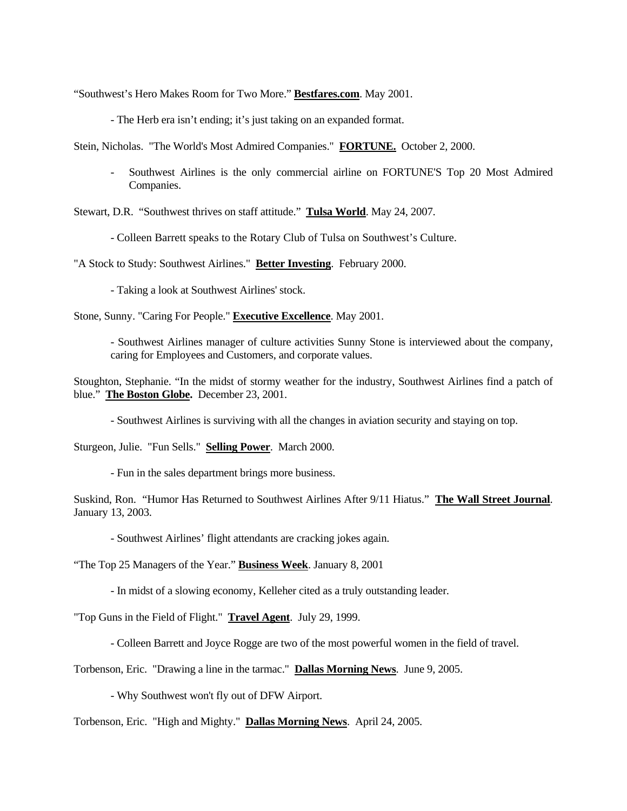"Southwest's Hero Makes Room for Two More." **Bestfares.com**. May 2001.

- The Herb era isn't ending; it's just taking on an expanded format.

Stein, Nicholas. "The World's Most Admired Companies." **FORTUNE.** October 2, 2000.

- Southwest Airlines is the only commercial airline on FORTUNE'S Top 20 Most Admired Companies.

Stewart, D.R. "Southwest thrives on staff attitude." **Tulsa World**. May 24, 2007.

- Colleen Barrett speaks to the Rotary Club of Tulsa on Southwest's Culture.

"A Stock to Study: Southwest Airlines." **Better Investing**. February 2000.

- Taking a look at Southwest Airlines' stock.

Stone, Sunny. "Caring For People." **Executive Excellence**. May 2001.

- Southwest Airlines manager of culture activities Sunny Stone is interviewed about the company, caring for Employees and Customers, and corporate values.

Stoughton, Stephanie. "In the midst of stormy weather for the industry, Southwest Airlines find a patch of blue." **The Boston Globe.** December 23, 2001.

- Southwest Airlines is surviving with all the changes in aviation security and staying on top.

Sturgeon, Julie. "Fun Sells." **Selling Power**. March 2000.

- Fun in the sales department brings more business.

Suskind, Ron. "Humor Has Returned to Southwest Airlines After 9/11 Hiatus." **The Wall Street Journal**. January 13, 2003.

- Southwest Airlines' flight attendants are cracking jokes again.

"The Top 25 Managers of the Year." **Business Week**. January 8, 2001

- In midst of a slowing economy, Kelleher cited as a truly outstanding leader.

"Top Guns in the Field of Flight." **Travel Agent**. July 29, 1999.

- Colleen Barrett and Joyce Rogge are two of the most powerful women in the field of travel.

Torbenson, Eric. "Drawing a line in the tarmac." **Dallas Morning News**. June 9, 2005.

- Why Southwest won't fly out of DFW Airport.

Torbenson, Eric. "High and Mighty." **Dallas Morning News**. April 24, 2005.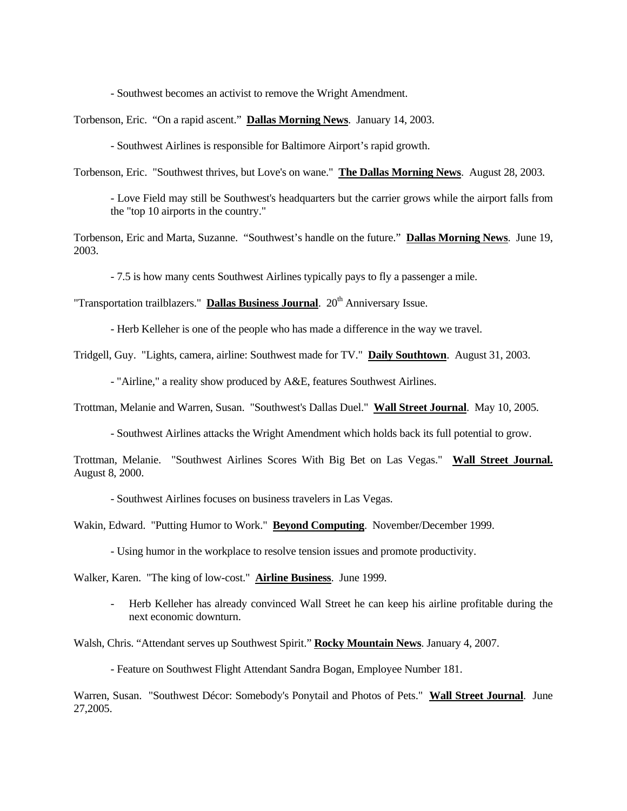- Southwest becomes an activist to remove the Wright Amendment.

Torbenson, Eric. "On a rapid ascent." **Dallas Morning News**. January 14, 2003.

- Southwest Airlines is responsible for Baltimore Airport's rapid growth.

Torbenson, Eric. "Southwest thrives, but Love's on wane." **The Dallas Morning News**. August 28, 2003.

- Love Field may still be Southwest's headquarters but the carrier grows while the airport falls from the "top 10 airports in the country."

Torbenson, Eric and Marta, Suzanne. "Southwest's handle on the future." **Dallas Morning News**. June 19, 2003.

- 7.5 is how many cents Southwest Airlines typically pays to fly a passenger a mile.

"Transportation trailblazers." **Dallas Business Journal**. 20<sup>th</sup> Anniversary Issue.

- Herb Kelleher is one of the people who has made a difference in the way we travel.

Tridgell, Guy. "Lights, camera, airline: Southwest made for TV." **Daily Southtown**. August 31, 2003.

- "Airline," a reality show produced by A&E, features Southwest Airlines.

Trottman, Melanie and Warren, Susan. "Southwest's Dallas Duel." **Wall Street Journal**. May 10, 2005.

- Southwest Airlines attacks the Wright Amendment which holds back its full potential to grow.

Trottman, Melanie. "Southwest Airlines Scores With Big Bet on Las Vegas." **Wall Street Journal.** August 8, 2000.

- Southwest Airlines focuses on business travelers in Las Vegas.

Wakin, Edward. "Putting Humor to Work." **Beyond Computing**. November/December 1999.

- Using humor in the workplace to resolve tension issues and promote productivity.

Walker, Karen. "The king of low-cost." **Airline Business**. June 1999.

- Herb Kelleher has already convinced Wall Street he can keep his airline profitable during the next economic downturn.

Walsh, Chris. "Attendant serves up Southwest Spirit." **Rocky Mountain News**. January 4, 2007.

- Feature on Southwest Flight Attendant Sandra Bogan, Employee Number 181.

Warren, Susan. "Southwest Décor: Somebody's Ponytail and Photos of Pets." **Wall Street Journal**. June 27,2005.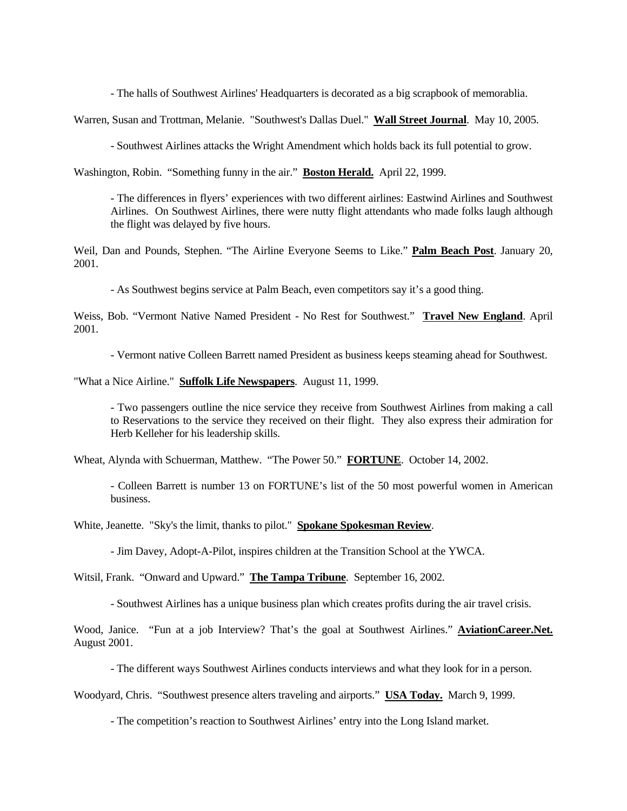- The halls of Southwest Airlines' Headquarters is decorated as a big scrapbook of memorablia.

Warren, Susan and Trottman, Melanie. "Southwest's Dallas Duel." **Wall Street Journal**. May 10, 2005.

- Southwest Airlines attacks the Wright Amendment which holds back its full potential to grow.

Washington, Robin. "Something funny in the air." **Boston Herald.** April 22, 1999.

- The differences in flyers' experiences with two different airlines: Eastwind Airlines and Southwest Airlines. On Southwest Airlines, there were nutty flight attendants who made folks laugh although the flight was delayed by five hours.

Weil, Dan and Pounds, Stephen. "The Airline Everyone Seems to Like." **Palm Beach Post**. January 20, 2001.

- As Southwest begins service at Palm Beach, even competitors say it's a good thing.

Weiss, Bob. "Vermont Native Named President - No Rest for Southwest." **Travel New England**. April 2001.

- Vermont native Colleen Barrett named President as business keeps steaming ahead for Southwest.

"What a Nice Airline." **Suffolk Life Newspapers**. August 11, 1999.

- Two passengers outline the nice service they receive from Southwest Airlines from making a call to Reservations to the service they received on their flight. They also express their admiration for Herb Kelleher for his leadership skills.

Wheat, Alynda with Schuerman, Matthew. "The Power 50." **FORTUNE**. October 14, 2002.

- Colleen Barrett is number 13 on FORTUNE's list of the 50 most powerful women in American business.

White, Jeanette. "Sky's the limit, thanks to pilot." **Spokane Spokesman Review**.

- Jim Davey, Adopt-A-Pilot, inspires children at the Transition School at the YWCA.

Witsil, Frank. "Onward and Upward." **The Tampa Tribune**. September 16, 2002.

- Southwest Airlines has a unique business plan which creates profits during the air travel crisis.

Wood, Janice. "Fun at a job Interview? That's the goal at Southwest Airlines." **AviationCareer.Net.** August 2001.

- The different ways Southwest Airlines conducts interviews and what they look for in a person.

Woodyard, Chris. "Southwest presence alters traveling and airports." **USA Today.** March 9, 1999.

- The competition's reaction to Southwest Airlines' entry into the Long Island market.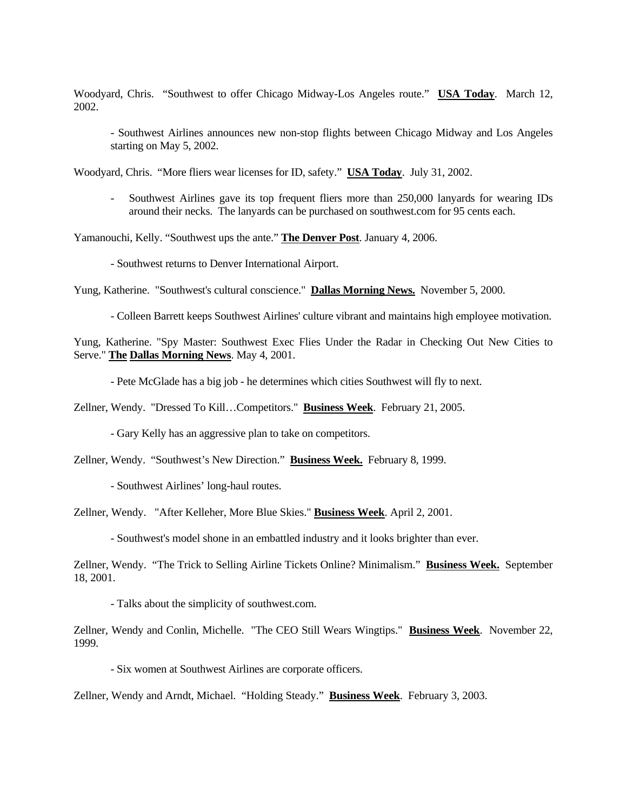Woodyard, Chris. "Southwest to offer Chicago Midway-Los Angeles route." **USA Today**. March 12, 2002.

- Southwest Airlines announces new non-stop flights between Chicago Midway and Los Angeles starting on May 5, 2002.

Woodyard, Chris. "More fliers wear licenses for ID, safety." **USA Today**. July 31, 2002.

- Southwest Airlines gave its top frequent fliers more than 250,000 lanyards for wearing IDs around their necks. The lanyards can be purchased on southwest.com for 95 cents each.

Yamanouchi, Kelly. "Southwest ups the ante." **The Denver Post**. January 4, 2006.

- Southwest returns to Denver International Airport.

Yung, Katherine. "Southwest's cultural conscience." **Dallas Morning News.** November 5, 2000.

- Colleen Barrett keeps Southwest Airlines' culture vibrant and maintains high employee motivation.

Yung, Katherine. "Spy Master: Southwest Exec Flies Under the Radar in Checking Out New Cities to Serve." **The Dallas Morning News**. May 4, 2001.

- Pete McGlade has a big job - he determines which cities Southwest will fly to next.

Zellner, Wendy. "Dressed To Kill…Competitors." **Business Week**. February 21, 2005.

- Gary Kelly has an aggressive plan to take on competitors.

Zellner, Wendy. "Southwest's New Direction." **Business Week.** February 8, 1999.

- Southwest Airlines' long-haul routes.

Zellner, Wendy. "After Kelleher, More Blue Skies." **Business Week**. April 2, 2001.

- Southwest's model shone in an embattled industry and it looks brighter than ever.

Zellner, Wendy. "The Trick to Selling Airline Tickets Online? Minimalism." **Business Week.** September 18, 2001.

- Talks about the simplicity of southwest.com.

Zellner, Wendy and Conlin, Michelle. "The CEO Still Wears Wingtips." **Business Week**. November 22, 1999.

- Six women at Southwest Airlines are corporate officers.

Zellner, Wendy and Arndt, Michael. "Holding Steady." **Business Week**. February 3, 2003.